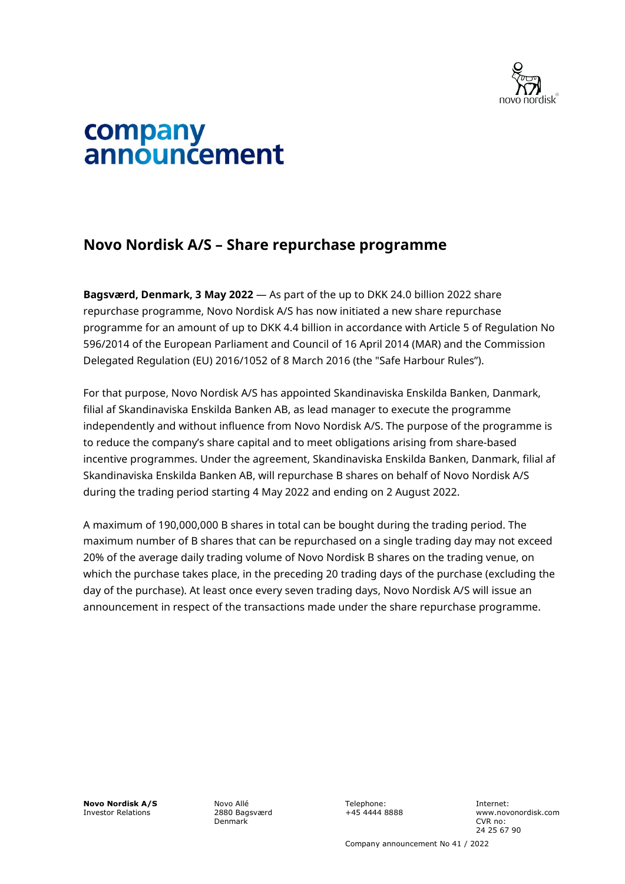

## company announcement

## **Novo Nordisk A/S – Share repurchase programme**

**Bagsværd, Denmark, 3 May 2022** — As part of the up to DKK 24.0 billion 2022 share repurchase programme, Novo Nordisk A/S has now initiated a new share repurchase programme for an amount of up to DKK 4.4 billion in accordance with Article 5 of Regulation No 596/2014 of the European Parliament and Council of 16 April 2014 (MAR) and the Commission Delegated Regulation (EU) 2016/1052 of 8 March 2016 (the "Safe Harbour Rules").

For that purpose, Novo Nordisk A/S has appointed Skandinaviska Enskilda Banken, Danmark, filial af Skandinaviska Enskilda Banken AB, as lead manager to execute the programme independently and without influence from Novo Nordisk A/S. The purpose of the programme is to reduce the company's share capital and to meet obligations arising from share-based incentive programmes. Under the agreement, Skandinaviska Enskilda Banken, Danmark, filial af Skandinaviska Enskilda Banken AB, will repurchase B shares on behalf of Novo Nordisk A/S during the trading period starting 4 May 2022 and ending on 2 August 2022.

A maximum of 190,000,000 B shares in total can be bought during the trading period. The maximum number of B shares that can be repurchased on a single trading day may not exceed 20% of the average daily trading volume of Novo Nordisk B shares on the trading venue, on which the purchase takes place, in the preceding 20 trading days of the purchase (excluding the day of the purchase). At least once every seven trading days, Novo Nordisk A/S will issue an announcement in respect of the transactions made under the share repurchase programme.

**Novo Nordisk A/S** Investor Relations

Novo Allé 2880 Bagsværd Denmark

Telephone: +45 4444 8888 Internet: www.novonordisk.com CVR no: 24 25 67 90

Company announcement No 41 / 2022